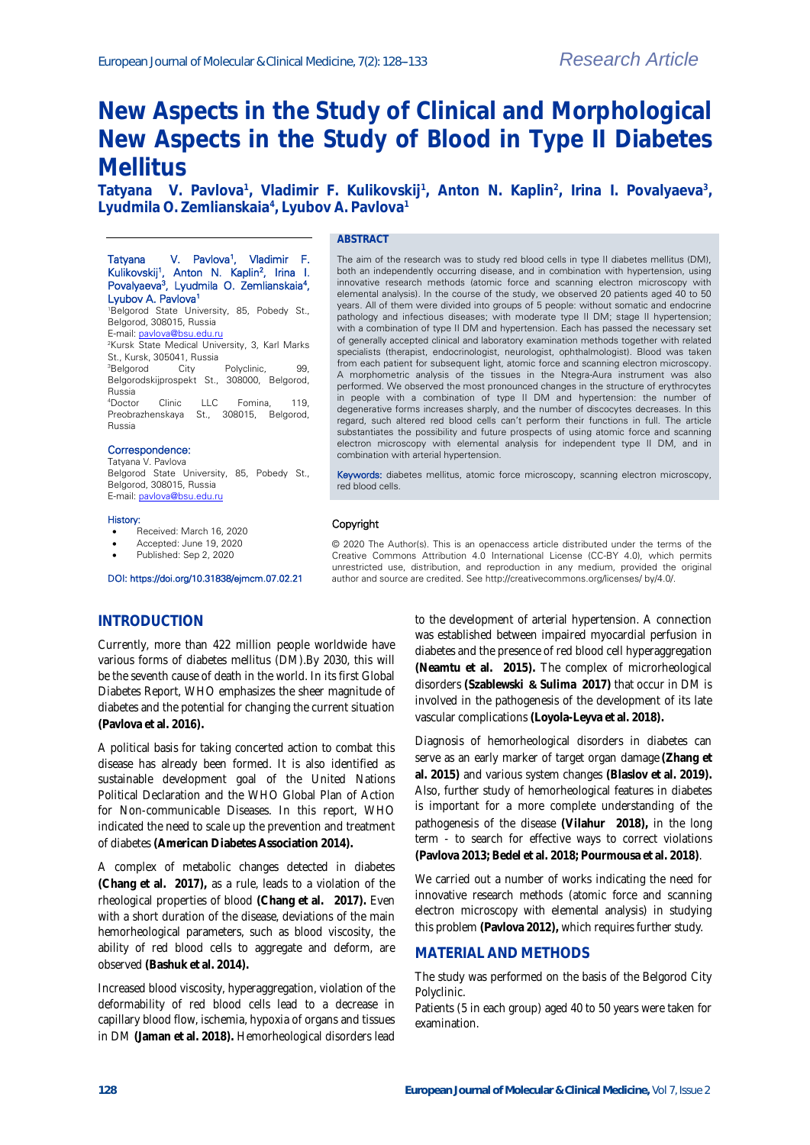# **New Aspects in the Study of Clinical and Morphological New Aspects in the Study of Blood in Type II Diabetes Mellitus**

Tatyana V. Pavlova<sup>1</sup>, Vladimir F. Kulikovskij<sup>1</sup>, Anton N. Kaplin<sup>2</sup>, Irina I. Povalyaeva<sup>3</sup>, **Lyudmila O. Zemlianskaia<sup>4</sup> , Lyubov A. Pavlova<sup>1</sup>**

#### **ABSTRACT**

### Tatyana V. Pavlova<sup>1</sup>, Vladimir F. Kulikovskij<sup>1</sup>, Anton N. Kaplin<sup>2</sup>, Irina I. Povalyaeva<sup>3</sup>, Lyudmila O. Zemlianskaia<sup>4</sup>, Lyubov A. Pavlova<sup>1</sup>

<sup>1</sup>Belgorod State University, 85, Pobedy St., Belgorod, 308015, Russia E-mail[: pavlova@bsu.edu.ru](mailto:pavlova@bsu.edu.ru)

<sup>2</sup>Kursk State Medical University, 3, Karl Marks

St., Kursk, 305041, Russia<br><sup>3</sup>Belgorod City Polyclinic, 99, Belgorodskijprospekt St., 308000, Belgorod, Russia

<sup>4</sup>Doctor Clinic LLC Fomina, 119, Preobrazhenskaya St., 308015, Belgorod, Russia

### Correspondence:

Tatyana V. Pavlova Belgorod State University, 85, Pobedy St., Belgorod, 308015, Russia E-mail[: pavlova@bsu.edu.ru](mailto:pavlova@bsu.edu.ru)

#### History:

- Received: March 16, 2020
- Accepted: June 19, 2020
- Published: Sep 2, 2020

DOI: https://doi.org/10.31838/ejmcm.07.02.21

#### The aim of the research was to study red blood cells in type II diabetes mellitus (DM), both an independently occurring disease, and in combination with hypertension, using innovative research methods (atomic force and scanning electron microscopy with elemental analysis). In the course of the study, we observed 20 patients aged 40 to 50 years. All of them were divided into groups of 5 people: without somatic and endocrine pathology and infectious diseases; with moderate type II DM; stage II hypertension; with a combination of type II DM and hypertension. Each has passed the necessary set of generally accepted clinical and laboratory examination methods together with related specialists (therapist, endocrinologist, neurologist, ophthalmologist). Blood was taken from each patient for subsequent light, atomic force and scanning electron microscopy. A morphometric analysis of the tissues in the Ntegra-Aura instrument was also performed. We observed the most pronounced changes in the structure of erythrocytes in people with a combination of type II DM and hypertension: the number of degenerative forms increases sharply, and the number of discocytes decreases. In this regard, such altered red blood cells can't perform their functions in full. The article substantiates the possibility and future prospects of using atomic force and scanning electron microscopy with elemental analysis for independent type II DM, and in combination with arterial hypertension.

Keywords: diabetes mellitus, atomic force microscopy, scanning electron microscopy, red blood cells.

### Copyright

© 2020 The Author(s). This is an openaccess article distributed under the terms of the Creative Commons Attribution 4.0 International License (CC-BY 4.0), which permits unrestricted use, distribution, and reproduction in any medium, provided the original author and source are credited. See http://creativecommons.org/licenses/ by/4.0/.

### **INTRODUCTION**

Currently, more than 422 million people worldwide have various forms of diabetes mellitus (DM).By 2030, this will be the seventh cause of death in the world. In its first Global Diabetes Report, WHO emphasizes the sheer magnitude of diabetes and the potential for changing the current situation **(Pavlova et al. 2016).**

A political basis for taking concerted action to combat this disease has already been formed. It is also identified as sustainable development goal of the United Nations Political Declaration and the WHO Global Plan of Action for Non-communicable Diseases. In this report, WHO indicated the need to scale up the prevention and treatment of diabetes **(American Diabetes Association 2014).**

A complex of metabolic changes detected in diabetes **[\(Chang et al.](https://www.ncbi.nlm.nih.gov/pubmed/?term=Chang%20HY%5BAuthor%5D&cauthor=true&cauthor_uid=28746858) 2017),** as a rule, leads to a violation of the rheological properties of blood **[\(Chang et al.](https://www.ncbi.nlm.nih.gov/pubmed/?term=Chang%20HY%5BAuthor%5D&cauthor=true&cauthor_uid=28746858) 2017).** Even with a short duration of the disease, deviations of the main hemorheological parameters, such as blood viscosity, the ability of red blood cells to aggregate and deform, are observed **(Bashuk et al. 2014).**

Increased blood viscosity, hyperaggregation, violation of the deformability of red blood cells lead to a decrease in capillary blood flow, ischemia, hypoxia of organs and tissues in DM **(Jaman et al. 2018).** Hemorheological disorders lead to the development of arterial hypertension. A connection was established between impaired myocardial perfusion in diabetes and the presence of red blood cell hyperaggregation **[\(Neamtu et al.](https://www.ncbi.nlm.nih.gov/pubmed/?term=Neam%C5%A2u%20MC%5BAuthor%5D&cauthor=true&cauthor_uid=25826504) 2015).** The complex of microrheological disorders **[\(Szablewski](https://www.ncbi.nlm.nih.gov/pubmed/?term=Szablewski%20L%5BAuthor%5D&cauthor=true&cauthor_uid=27768581) & [Sulima 2](https://www.ncbi.nlm.nih.gov/pubmed/?term=Sulima%20A%5BAuthor%5D&cauthor=true&cauthor_uid=27768581)017)** that occur in DM is involved in the pathogenesis of the development of its late vascular complications **(Loyola-Leyva et al. 2018).** 

Diagnosis of hemorheological disorders in diabetes can serve as an early marker of target organ damage **(Zhang et al. 2015)** and various system changes **(Blaslov et al. 2019).** Also, further study of hemorheological features in diabetes is important for a more complete understanding of the pathogenesis of the disease **[\(Vilahur](https://www.ncbi.nlm.nih.gov/pubmed/?term=Vilahur%20G%5BAuthor%5D&cauthor=true&cauthor_uid=30092955) 2018),** in the long term - to search for effective ways to correct violations **(Pavlova 2013; Bedel et al. 2018; Pourmousa et al. 2018)**.

We carried out a number of works indicating the need for innovative research methods (atomic force and scanning electron microscopy with elemental analysis) in studying this problem **(Pavlova 2012),** which requires further study.

### **MATERIAL AND METHODS**

The study was performed on the basis of the Belgorod City Polyclinic.

Patients (5 in each group) aged 40 to 50 years were taken for examination.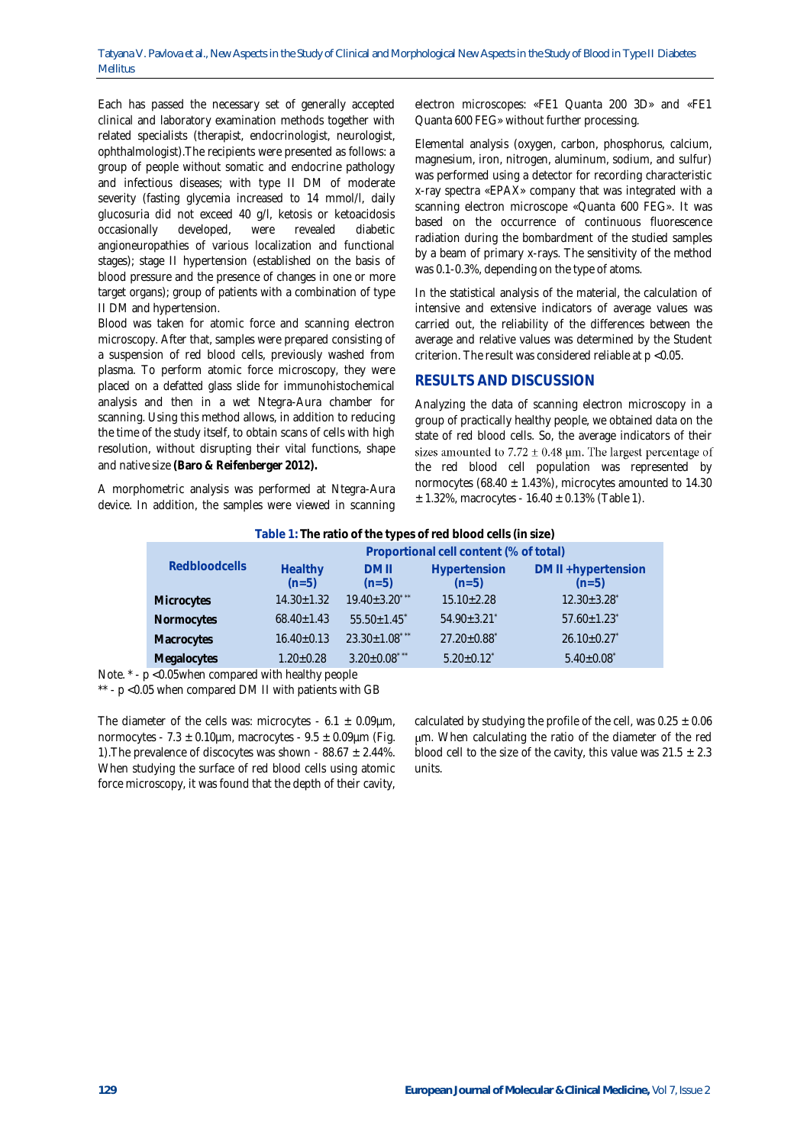Each has passed the necessary set of generally accepted clinical and laboratory examination methods together with related specialists (therapist, endocrinologist, neurologist, ophthalmologist).The recipients were presented as follows: a group of people without somatic and endocrine pathology and infectious diseases; with type II DM of moderate severity (fasting glycemia increased to 14 mmol/l, daily glucosuria did not exceed 40 g/l, ketosis or ketoacidosis occasionally developed, were revealed diabetic angioneuropathies of various localization and functional stages); stage II hypertension (established on the basis of blood pressure and the presence of changes in one or more target organs); group of patients with a combination of type II DM and hypertension.

Blood was taken for atomic force and scanning electron microscopy. After that, samples were prepared consisting of a suspension of red blood cells, previously washed from plasma. To perform atomic force microscopy, they were placed on a defatted glass slide for immunohistochemical analysis and then in a wet Ntegra-Aura chamber for scanning. Using this method allows, in addition to reducing the time of the study itself, to obtain scans of cells with high resolution, without disrupting their vital functions, shape and native size **(Baro & Reifenberger 2012).**

A morphometric analysis was performed at Ntegra-Aura device. In addition, the samples were viewed in scanning

electron microscopes: «FE1 Quanta 200 3D» and «FE1 Quanta 600 FEG» without further processing.

Elemental analysis (oxygen, carbon, phosphorus, calcium, magnesium, iron, nitrogen, aluminum, sodium, and sulfur) was performed using a detector for recording characteristic x-ray spectra «EPAX» company that was integrated with a scanning electron microscope «Quanta 600 FEG». It was based on the occurrence of continuous fluorescence radiation during the bombardment of the studied samples by a beam of primary x-rays. The sensitivity of the method was 0.1-0.3%, depending on the type of atoms.

In the statistical analysis of the material, the calculation of intensive and extensive indicators of average values was carried out, the reliability of the differences between the average and relative values was determined by the Student criterion. The result was considered reliable at p <0.05.

### **RESULTS AND DISCUSSION**

Analyzing the data of scanning electron microscopy in a group of practically healthy people, we obtained data on the state of red blood cells. So, the average indicators of their sizes amounted to 7.72  $\pm$  0.48 µm. The largest percentage of the red blood cell population was represented by normocytes (68.40  $\pm$  1.43%), microcytes amounted to 14.30  $± 1.32\%$ , macrocytes - 16.40  $± 0.13\%$  (Table 1).

| Table 1: The ratio of the types of red blood cells (in size) |  |
|--------------------------------------------------------------|--|
|                                                              |  |

|                      | Proportional cell content (% of total) |                      |                               |                               |
|----------------------|----------------------------------------|----------------------|-------------------------------|-------------------------------|
| <b>Redbloodcells</b> | Healthy                                | <b>DMII</b>          | Hypertension                  | DM II +hypertension           |
|                      | $(n=5)$                                | $(n=5)$              | $(n=5)$                       | $(n=5)$                       |
| Microcytes           | $14.30 \pm 1.32$                       | $19.40 \pm 3.20$ *** | $15.10 \pm 2.28$              | $12.30 \pm 3.28$ <sup>*</sup> |
| Normocytes           | $68.40 \pm 1.43$                       | $55.50 + 1.45$       | $54.90 \pm 3.21$              | $57.60 \pm 1.23$              |
| Macrocytes           | $16.40 \pm 0.13$                       | $23.30 \pm 1.08$ *** | $27.20 \pm 0.88$ <sup>*</sup> | $26.10 \pm 0.27$              |
| Megalocytes          | $1.20 \pm 0.28$                        | $3.20 \pm 0.08$ ***  | $5.20 \pm 0.12^*$             | $5.40 \pm 0.08$               |

Note. \* - p <0.05when compared with healthy people

\*\* - p <0.05 when compared DM II with patients with GB

The diameter of the cells was: microcytes -  $6.1 \pm 0.09 \mu m$ , normocytes - 7.3  $\pm$  0.10µm, macrocytes - 9.5  $\pm$  0.09µm (Fig. 1). The prevalence of discocytes was shown -  $88.67 \pm 2.44\%$ . When studying the surface of red blood cells using atomic force microscopy, it was found that the depth of their cavity,

calculated by studying the profile of the cell, was  $0.25 \pm 0.06$ m. When calculating the ratio of the diameter of the red blood cell to the size of the cavity, this value was  $21.5 \pm 2.3$ units.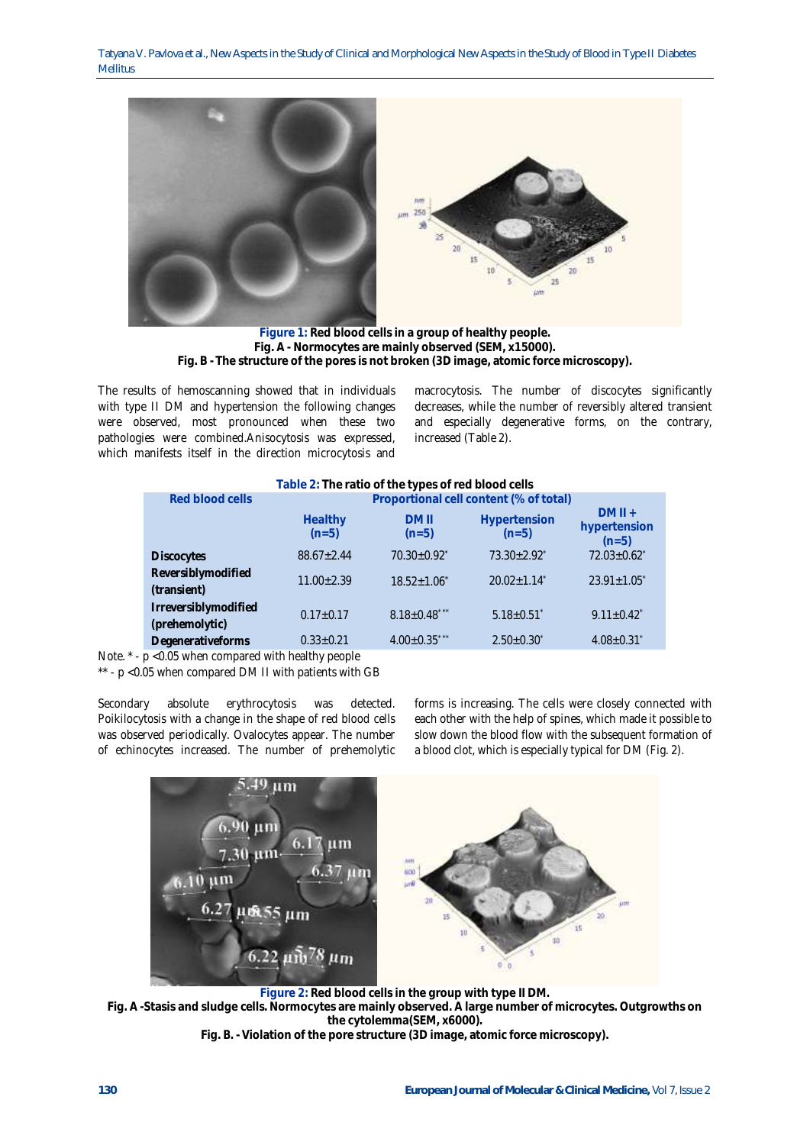Tatyana V. Pavlova et al., New Aspects in the Study of Clinical and Morphological New Aspects in the Study of Blood in Type II Diabetes Mellitus



**Figure 1: Red blood cells in a group of healthy people. Fig. A - Normocytes are mainly observed (SEM, x15000). Fig. B - The structure of the pores is not broken (3D image, atomic force microscopy).**

The results of hemoscanning showed that in individuals with type II DM and hypertension the following changes were observed, most pronounced when these two pathologies were combined.Anisocytosis was expressed, which manifests itself in the direction microcytosis and

macrocytosis. The number of discocytes significantly decreases, while the number of reversibly altered transient and especially degenerative forms, on the contrary, increased (Table 2).

| Table 2: The ratio of the types of red blood cells |                                        |                               |                               |                                     |
|----------------------------------------------------|----------------------------------------|-------------------------------|-------------------------------|-------------------------------------|
| Red blood cells                                    | Proportional cell content (% of total) |                               |                               |                                     |
|                                                    | Healthy<br>$(n=5)$                     | <b>DMII</b><br>$(n=5)$        | Hypertension<br>$(n=5)$       | $DMII +$<br>hypertension<br>$(n=5)$ |
| <b>Discocytes</b>                                  | $88.67 \pm 2.44$                       | $70.30 \pm 0.92$ <sup>*</sup> | $73.30 \pm 2.92$ <sup>*</sup> | $72.03 \pm 0.62$ <sup>*</sup>       |
| Reversiblymodified<br>(transient)                  | $11.00 \pm 2.39$                       | $18.52 \pm 1.06$              | $20.02 + 1.14$ <sup>*</sup>   | $23.91 \pm 1.05$ <sup>*</sup>       |
| Irreversiblymodified<br>(prehemolytic)             | $0.17 \pm 0.17$                        | $8.18 \pm 0.48$ ***           | $5.18 \pm 0.51$ <sup>*</sup>  | $9.11 \pm 0.42$ <sup>*</sup>        |
| Degenerativeforms                                  | $0.33 \pm 0.21$                        | $4.00 \pm 0.35$ ***           | $2.50 \pm 0.30^*$             | $4.08 \pm 0.31$                     |

Note.  $*$  -  $p$  <0.05 when compared with healthy people

\*\* - p <0.05 when compared DM II with patients with GB

Secondary absolute erythrocytosis was detected. Poikilocytosis with a change in the shape of red blood cells was observed periodically. Ovalocytes appear. The number of echinocytes increased. The number of prehemolytic forms is increasing. The cells were closely connected with each other with the help of spines, which made it possible to slow down the blood flow with the subsequent formation of a blood clot, which is especially typical for DM (Fig. 2).



**Figure 2: Red blood cells in the group with type II DM. Fig. A -Stasis and sludge cells. Normocytes are mainly observed. A large number of microcytes. Outgrowths on the cytolemma(SEM, x6000). Fig. B. -Violation of the pore structure (3D image, atomic force microscopy).**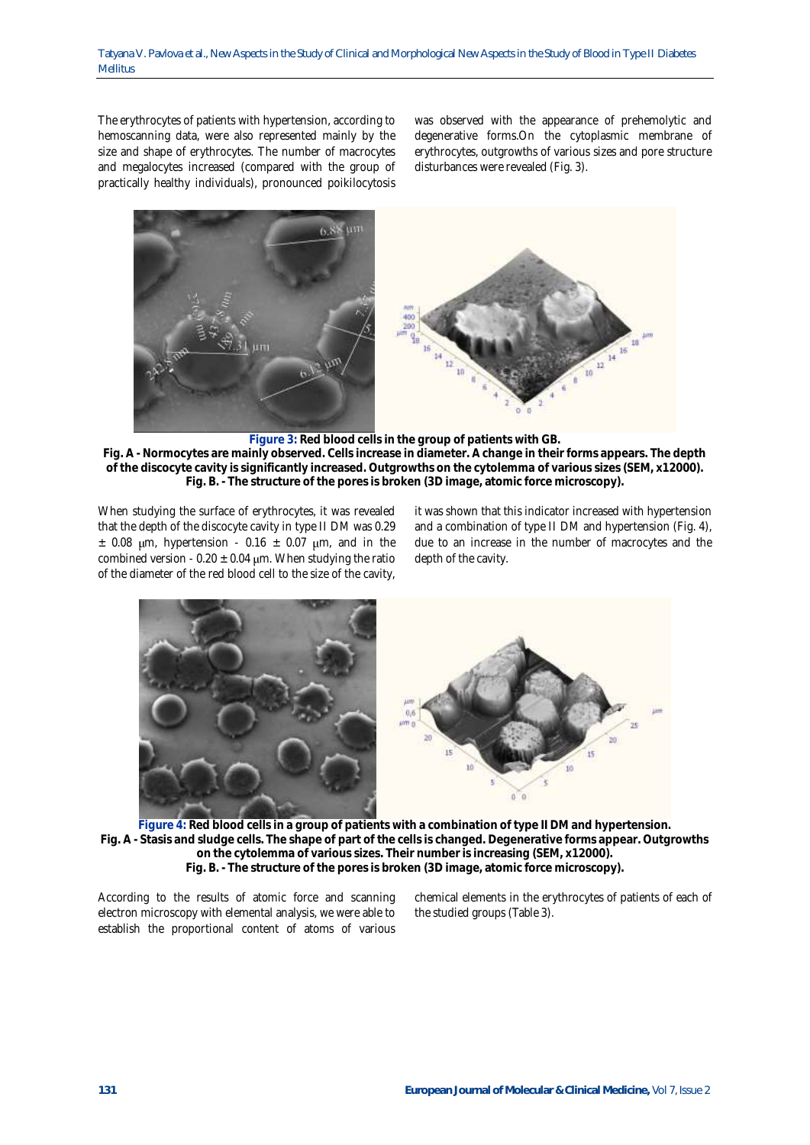The erythrocytes of patients with hypertension, according to hemoscanning data, were also represented mainly by the size and shape of erythrocytes. The number of macrocytes and megalocytes increased (compared with the group of practically healthy individuals), pronounced poikilocytosis

was observed with the appearance of prehemolytic and degenerative forms.On the cytoplasmic membrane of erythrocytes, outgrowths of various sizes and pore structure disturbances were revealed (Fig. 3).



**Figure 3: Red blood cells in the group of patients with GB.**

**Fig. A - Normocytes are mainly observed. Cells increase in diameter. A change in their forms appears. The depth of the discocyte cavity is significantly increased. Outgrowths on the cytolemma of various sizes (SEM, x12000). Fig. B. - The structure of the pores is broken (3D image, atomic force microscopy).**

When studying the surface of erythrocytes, it was revealed that the depth of the discocyte cavity in type II DM was 0.29  $\pm$  0.08 µm, hypertension - 0.16  $\pm$  0.07 µm, and in the combined version - 0.20  $\pm$  0.04 µm. When studying the ratio of the diameter of the red blood cell to the size of the cavity,

it was shown that this indicator increased with hypertension and a combination of type II DM and hypertension (Fig. 4), due to an increase in the number of macrocytes and the depth of the cavity.



**Figure 4: Red blood cells in a group of patients with a combination of type II DM and hypertension. Fig. A - Stasis and sludge cells. The shape of part of the cells is changed. Degenerative forms appear. Outgrowths on the cytolemma of various sizes. Their number is increasing (SEM, x12000). Fig. B. - The structure of the pores is broken (3D image, atomic force microscopy).**

According to the results of atomic force and scanning electron microscopy with elemental analysis, we were able to establish the proportional content of atoms of various

chemical elements in the erythrocytes of patients of each of the studied groups (Table 3).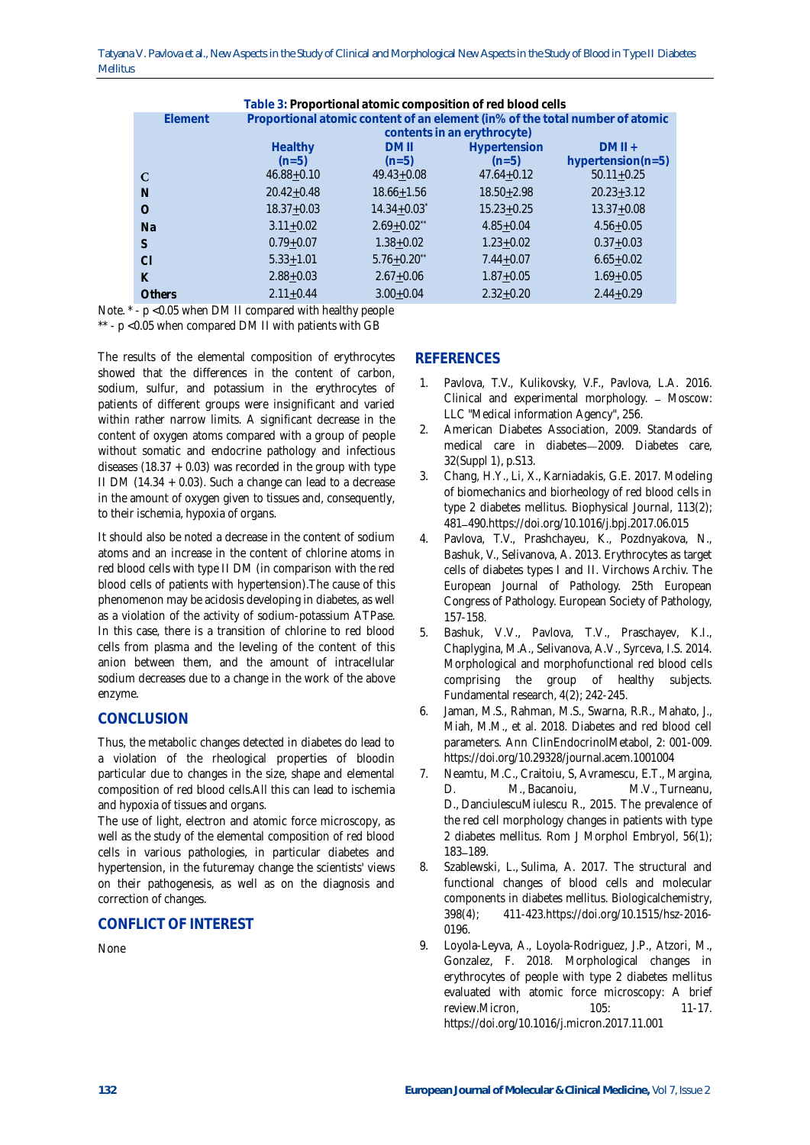Tatyana V. Pavlova et al., New Aspects in the Study of Clinical and Morphological New Aspects in the Study of Blood in Type II Diabetes Mellitus

| Table 3: Proportional atomic composition of red blood cells |           |                                                                              |                             |                |                       |
|-------------------------------------------------------------|-----------|------------------------------------------------------------------------------|-----------------------------|----------------|-----------------------|
|                                                             | Flement   | Proportional atomic content of an element (in% of the total number of atomic |                             |                |                       |
|                                                             |           | contents in an erythrocyte)                                                  |                             |                |                       |
|                                                             |           | Healthy                                                                      | <b>DMII</b>                 | Hypertension   | $DMII +$              |
|                                                             |           | $(n=5)$                                                                      | $(n=5)$                     | $(n=5)$        | hypertension( $n=5$ ) |
|                                                             | C         | $46.88 + 0.10$                                                               | $49.43 + 0.08$              | $47.64 + 0.12$ | $50.11 + 0.25$        |
|                                                             | N         | $20.42 + 0.48$                                                               | $18.66 + 1.56$              | $18.50 + 2.98$ | $20.23 + 3.12$        |
|                                                             | $\Omega$  | $18.37 + 0.03$                                                               | $14.34 + 0.03$ <sup>*</sup> | $15.23 + 0.25$ | $13.37 + 0.08$        |
|                                                             | <b>Na</b> | $3.11 + 0.02$                                                                | $2.69 + 0.02$ **            | $4.85 + 0.04$  | $4.56 + 0.05$         |
|                                                             | S         | $0.79 + 0.07$                                                                | $1.38 + 0.02$               | $1.23 + 0.02$  | $0.37 + 0.03$         |
|                                                             | C1        | $5.33 + 1.01$                                                                | $5.76 + 0.20$ **            | $7.44 + 0.07$  | $6.65 + 0.02$         |
|                                                             | K         | $2.88 + 0.03$                                                                | $2.67 + 0.06$               | $1.87 + 0.05$  | $1.69 + 0.05$         |
|                                                             | Others    | $2.11 + 0.44$                                                                | $3.00 + 0.04$               | $2.32 + 0.20$  | $2.44 + 0.29$         |

Note. \* - p <0.05 when DM II compared with healthy people \*\* - p <0.05 when compared DM II with patients with GB

The results of the elemental composition of erythrocytes showed that the differences in the content of carbon, sodium, sulfur, and potassium in the erythrocytes of patients of different groups were insignificant and varied within rather narrow limits. A significant decrease in the content of oxygen atoms compared with a group of people without somatic and endocrine pathology and infectious diseases (18.37  $+$  0.03) was recorded in the group with type II DM (14.34 + 0.03). Such a change can lead to a decrease in the amount of oxygen given to tissues and, consequently, to their ischemia, hypoxia of organs.

It should also be noted a decrease in the content of sodium atoms and an increase in the content of chlorine atoms in red blood cells with type II DM (in comparison with the red blood cells of patients with hypertension).The cause of this phenomenon may be acidosis developing in diabetes, as well as a violation of the activity of sodium-potassium ATPase. In this case, there is a transition of chlorine to red blood cells from plasma and the leveling of the content of this anion between them, and the amount of intracellular sodium decreases due to a change in the work of the above enzyme.

# **CONCLUSION**

Thus, the metabolic changes detected in diabetes do lead to a violation of the rheological properties of bloodin particular due to changes in the size, shape and elemental composition of red blood cells.All this can lead to ischemia and hypoxia of tissues and organs.

The use of light, electron and atomic force microscopy, as well as the study of the elemental composition of red blood cells in various pathologies, in particular diabetes and hypertension, in the futuremay change the scientists' views on their pathogenesis, as well as on the diagnosis and correction of changes.

## **CONFLICT OF INTEREST**

None

# **REFERENCES**

- 1. Pavlova, T.V., Kulikovsky, V.F., Pavlova, L.A. 2016. Clinical and experimental morphology. - Moscow: LLC "Medical information Agency", 256.
- 2. American Diabetes Association, 2009. Standards of medical care in diabetes-2009. Diabetes care, 32(Suppl 1), p.S13.
- 3. [Chang, H.Y.,](https://www.ncbi.nlm.nih.gov/pubmed/?term=Chang%20HY%5BAuthor%5D&cauthor=true&cauthor_uid=28746858) [Li, X.,](https://www.ncbi.nlm.nih.gov/pubmed/?term=Li%20X%5BAuthor%5D&cauthor=true&cauthor_uid=28746858) [Karniadakis, G.E.](https://www.ncbi.nlm.nih.gov/pubmed/?term=Karniadakis%20GE%5BAuthor%5D&cauthor=true&cauthor_uid=28746858) 2017. Modeling of biomechanics and biorheology of red blood cells in type 2 diabetes mellitus. Biophysical Journal, 113(2); 481 490.https://doi.org/[10.1016/j.bpj.2017.06.015](https://dx.doi.org/10.1016%2Fj.bpj.2017.06.015)
- 4. Pavlova, T.V., Prashchayeu, K., Pozdnyakova, N., Bashuk, V., Selivanova, A. 2013. Erythrocytes as target cells of diabetes types I and II. Virchows Archiv. The European Journal of Pathology. 25th European Congress of Pathology. European Society of Pathology, 157-158.
- 5. Bashuk, V.V., Pavlova, T.V., Praschayev, K.I., Chaplygina, M.A., Selivanova, A.V., Syrceva, I.S. 2014. Morphological and morphofunctional red blood cells comprising the group of healthy subjects. Fundamental research, 4(2); 242-245.
- 6. Jaman, M.S., Rahman, M.S., Swarna, R.R., Mahato, J., Miah, M.M., et al. 2018. Diabetes and red blood cell parameters. Ann ClinEndocrinolMetabol, 2: 001-009. https://doi.org/10.29328/journal.acem.1001004
- 7. [Neamtu, M.C.,](https://www.ncbi.nlm.nih.gov/pubmed/?term=Neam%C5%A2u%20MC%5BAuthor%5D&cauthor=true&cauthor_uid=25826504) Craitoiu, S, [Avramescu, E.T.](https://www.ncbi.nlm.nih.gov/pubmed/?term=Avramescu%20ET%5BAuthor%5D&cauthor=true&cauthor_uid=25826504), [Margina,](https://www.ncbi.nlm.nih.gov/pubmed/?term=Margin%C4%83%20DM%5BAuthor%5D&cauthor=true&cauthor_uid=25826504)  [D. M.,](https://www.ncbi.nlm.nih.gov/pubmed/?term=Margin%C4%83%20DM%5BAuthor%5D&cauthor=true&cauthor_uid=25826504) [Bacanoiu, M.V.](https://www.ncbi.nlm.nih.gov/pubmed/?term=B%C4%83c%C4%83noiu%20MV%5BAuthor%5D&cauthor=true&cauthor_uid=25826504), [Turneanu,](https://www.ncbi.nlm.nih.gov/pubmed/?term=Turneanu%20D%5BAuthor%5D&cauthor=true&cauthor_uid=25826504)  [D.](https://www.ncbi.nlm.nih.gov/pubmed/?term=Turneanu%20D%5BAuthor%5D&cauthor=true&cauthor_uid=25826504), [DanciulescuMiulescu R.](https://www.ncbi.nlm.nih.gov/pubmed/?term=D%C4%83nciulescu%20Miulescu%20R%5BAuthor%5D&cauthor=true&cauthor_uid=25826504), 2015. The prevalence of the red cell morphology changes in patients with type 2 diabetes mellitus. Rom J Morphol Embryol, 56(1); 183-189.
- 8. [Szablewski, L.,](https://www.ncbi.nlm.nih.gov/pubmed/?term=Szablewski%20L%5BAuthor%5D&cauthor=true&cauthor_uid=27768581) [Sulima, A.](https://www.ncbi.nlm.nih.gov/pubmed/?term=Sulima%20A%5BAuthor%5D&cauthor=true&cauthor_uid=27768581) 2017. The structural and functional changes of blood cells and molecular components in diabetes mellitus. Biologicalchemistry, 398(4); 411-42[3.https://doi.org/10.1515/hsz-2016-](https://doi.org/10.1515/hsz-2016-0196) [0196.](https://doi.org/10.1515/hsz-2016-0196)
- 9. [Loyola-Leyva, A.,](https://www.ncbi.nlm.nih.gov/pubmed/?term=Loyola-Leyva%20A%5BAuthor%5D&cauthor=true&cauthor_uid=29145008) [Loyola-Rodriguez, J.P.,](https://www.ncbi.nlm.nih.gov/pubmed/?term=Loyola-Rodr%C3%ADguez%20JP%5BAuthor%5D&cauthor=true&cauthor_uid=29145008) [Atzori, M.](https://www.ncbi.nlm.nih.gov/pubmed/?term=Atzori%20M%5BAuthor%5D&cauthor=true&cauthor_uid=29145008), [Gonzalez, F.](https://www.ncbi.nlm.nih.gov/pubmed/?term=Gonz%C3%A1lez%20FJ%5BAuthor%5D&cauthor=true&cauthor_uid=29145008) 2018. Morphological changes in erythrocytes of people with type 2 diabetes mellitus evaluated with atomic force microscopy: A brief review.Micron, 105: 11-17. <https://doi.org/10.1016/j.micron.2017.11.001>